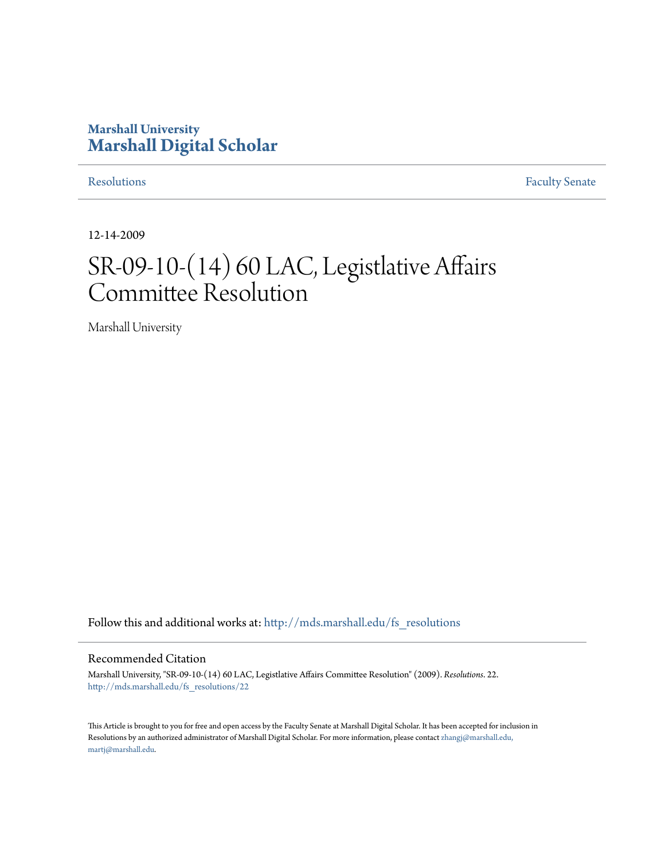# **Marshall University [Marshall Digital Scholar](http://mds.marshall.edu?utm_source=mds.marshall.edu%2Ffs_resolutions%2F22&utm_medium=PDF&utm_campaign=PDFCoverPages)**

[Resolutions](http://mds.marshall.edu/fs_resolutions?utm_source=mds.marshall.edu%2Ffs_resolutions%2F22&utm_medium=PDF&utm_campaign=PDFCoverPages) [Faculty Senate](http://mds.marshall.edu/fs?utm_source=mds.marshall.edu%2Ffs_resolutions%2F22&utm_medium=PDF&utm_campaign=PDFCoverPages)

12-14-2009

# SR-09-10-(14) 60 LAC, Legistlative Affairs Committee Resolution

Marshall University

Follow this and additional works at: [http://mds.marshall.edu/fs\\_resolutions](http://mds.marshall.edu/fs_resolutions?utm_source=mds.marshall.edu%2Ffs_resolutions%2F22&utm_medium=PDF&utm_campaign=PDFCoverPages)

#### Recommended Citation

Marshall University, "SR-09-10-(14) 60 LAC, Legistlative Affairs Committee Resolution" (2009). *Resolutions*. 22. [http://mds.marshall.edu/fs\\_resolutions/22](http://mds.marshall.edu/fs_resolutions/22?utm_source=mds.marshall.edu%2Ffs_resolutions%2F22&utm_medium=PDF&utm_campaign=PDFCoverPages)

This Article is brought to you for free and open access by the Faculty Senate at Marshall Digital Scholar. It has been accepted for inclusion in Resolutions by an authorized administrator of Marshall Digital Scholar. For more information, please contact [zhangj@marshall.edu,](mailto:zhangj@marshall.edu,%20martj@marshall.edu) [martj@marshall.edu](mailto:zhangj@marshall.edu,%20martj@marshall.edu).